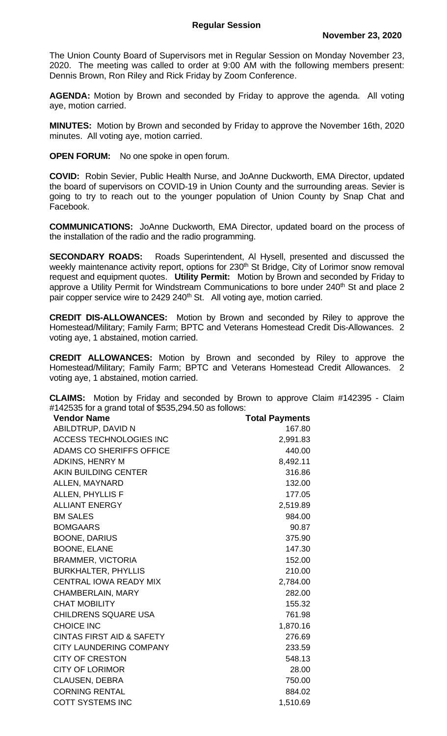The Union County Board of Supervisors met in Regular Session on Monday November 23, 2020. The meeting was called to order at 9:00 AM with the following members present: Dennis Brown, Ron Riley and Rick Friday by Zoom Conference.

**AGENDA:** Motion by Brown and seconded by Friday to approve the agenda. All voting aye, motion carried.

**MINUTES:** Motion by Brown and seconded by Friday to approve the November 16th, 2020 minutes. All voting aye, motion carried.

**OPEN FORUM:** No one spoke in open forum.

**COVID:** Robin Sevier, Public Health Nurse, and JoAnne Duckworth, EMA Director, updated the board of supervisors on COVID-19 in Union County and the surrounding areas. Sevier is going to try to reach out to the younger population of Union County by Snap Chat and Facebook.

**COMMUNICATIONS:** JoAnne Duckworth, EMA Director, updated board on the process of the installation of the radio and the radio programming.

**SECONDARY ROADS:** Roads Superintendent, Al Hysell, presented and discussed the weekly maintenance activity report, options for 230<sup>th</sup> St Bridge, City of Lorimor snow removal request and equipment quotes. **Utility Permit:** Motion by Brown and seconded by Friday to approve a Utility Permit for Windstream Communications to bore under 240<sup>th</sup> St and place 2 pair copper service wire to 2429 240<sup>th</sup> St. All voting aye, motion carried.

**CREDIT DIS-ALLOWANCES:** Motion by Brown and seconded by Riley to approve the Homestead/Military; Family Farm; BPTC and Veterans Homestead Credit Dis-Allowances. 2 voting aye, 1 abstained, motion carried.

**CREDIT ALLOWANCES:** Motion by Brown and seconded by Riley to approve the Homestead/Military; Family Farm; BPTC and Veterans Homestead Credit Allowances. 2 voting aye, 1 abstained, motion carried.

**CLAIMS:** Motion by Friday and seconded by Brown to approve Claim #142395 - Claim #142535 for a grand total of \$535,294.50 as follows:

| <b>Vendor Name</b>                   | <b>Total Payments</b> |
|--------------------------------------|-----------------------|
| ABILDTRUP, DAVID N                   | 167.80                |
| <b>ACCESS TECHNOLOGIES INC</b>       | 2,991.83              |
| <b>ADAMS CO SHERIFFS OFFICE</b>      | 440.00                |
| <b>ADKINS, HENRY M</b>               | 8,492.11              |
| <b>AKIN BUILDING CENTER</b>          | 316.86                |
| ALLEN, MAYNARD                       | 132.00                |
| <b>ALLEN, PHYLLIS F</b>              | 177.05                |
| <b>ALLIANT ENERGY</b>                | 2,519.89              |
| <b>BM SALES</b>                      | 984.00                |
| <b>BOMGAARS</b>                      | 90.87                 |
| <b>BOONE, DARIUS</b>                 | 375.90                |
| <b>BOONE, ELANE</b>                  | 147.30                |
| <b>BRAMMER, VICTORIA</b>             | 152.00                |
| <b>BURKHALTER, PHYLLIS</b>           | 210.00                |
| <b>CENTRAL IOWA READY MIX</b>        | 2,784.00              |
| <b>CHAMBERLAIN, MARY</b>             | 282.00                |
| <b>CHAT MOBILITY</b>                 | 155.32                |
| <b>CHILDRENS SQUARE USA</b>          | 761.98                |
| <b>CHOICE INC</b>                    | 1,870.16              |
| <b>CINTAS FIRST AID &amp; SAFETY</b> | 276.69                |
| <b>CITY LAUNDERING COMPANY</b>       | 233.59                |
| <b>CITY OF CRESTON</b>               | 548.13                |
| <b>CITY OF LORIMOR</b>               | 28.00                 |
| <b>CLAUSEN, DEBRA</b>                | 750.00                |
| <b>CORNING RENTAL</b>                | 884.02                |
| <b>COTT SYSTEMS INC</b>              | 1,510.69              |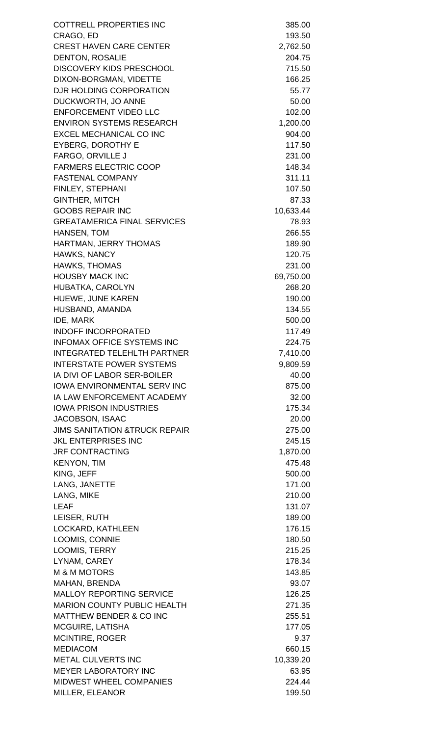COTTRELL PROPERTIES INC 385.00 CRAGO, ED 193.50 CREST HAVEN CARE CENTER 2,762.50 DENTON, ROSALIE 204.75 DISCOVERY KIDS PRESCHOOL 715.50 DIXON-BORGMAN, VIDETTE 166.25 DJR HOLDING CORPORATION 55.77 DUCKWORTH, JO ANNE 50.00 ENFORCEMENT VIDEO LLC 102.00 ENVIRON SYSTEMS RESEARCH 1.200.00 EXCEL MECHANICAL CO INC 804.00 EYBERG, DOROTHY E 117.50 FARGO, ORVILLE J 231.00 FARMERS ELECTRIC COOP 148.34 FASTENAL COMPANY 311.11 FINLEY, STEPHANI 107.50 GINTHER, MITCH 87.33 GOOBS REPAIR INC 10.633.44 GREATAMERICA FINAL SERVICES 78.93 HANSEN, TOM 266.55 HARTMAN, JERRY THOMAS 189.90 HAWKS, NANCY 120.75 HAWKS, THOMAS 231.00 HOUSBY MACK INC 69,750.00 HUBATKA, CAROLYN 268.20 HUEWE, JUNE KAREN 190.00 HUSBAND, AMANDA 134.55 IDE, MARK 500.00 INDOFF INCORPORATED 117.49 INFOMAX OFFICE SYSTEMS INC<br>
224.75 INTEGRATED TELEHLTH PARTNER 7,410.00 INTERSTATE POWER SYSTEMS 8.809.59 IA DIVI OF LABOR SER-BOILER 40.00 IOWA ENVIRONMENTAL SERV INC 875.00 IA LAW ENFORCEMENT ACADEMY 32.00 IOWA PRISON INDUSTRIES 175.34 JACOBSON, ISAAC 20.00 JIMS SANITATION &TRUCK REPAIR 275.00 JKL ENTERPRISES INC 245.15 JRF CONTRACTING 1,870.00 KENYON, TIM 475.48 KING, JEFF 500.00 LANG, JANETTE 171.00 LANG, MIKE 210.00 LEAF 131.07 LEISER, RUTH 189.00 LOCKARD, KATHLEEN 176.15 LOOMIS, CONNIE 180.50 LOOMIS, TERRY 215.25 LYNAM, CAREY 2008 178.34 M & M MOTORS 143.85 MAHAN, BRENDA 93.07 MALLOY REPORTING SERVICE 126.25 MARION COUNTY PUBLIC HEALTH 271.35 MATTHEW BENDER & CO INC 255.51 MCGUIRE, LATISHA 177.05 MCINTIRE, ROGER 9.37 MEDIACOM 660.15 METAL CULVERTS INC 10.339.20 MEYER LABORATORY INC 63.95 MIDWEST WHEEL COMPANIES 224.44 MILLER, ELEANOR 199.50